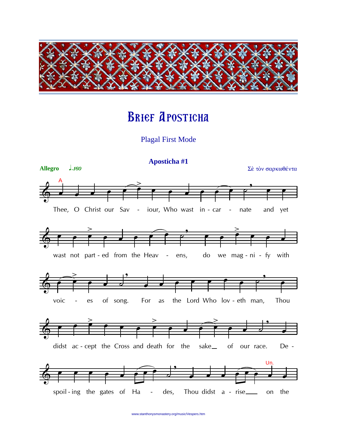

## **BRIEF APOSTICHA**

**Plagal First Mode** 



www.stanthonysmonastery.org/music/Vespers.htm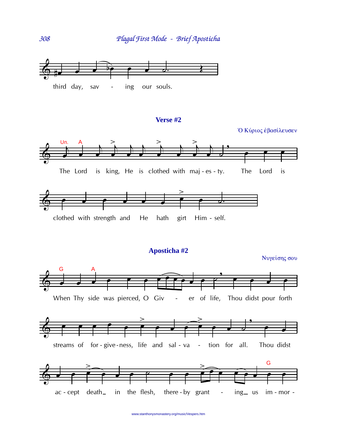

## **Verse #2**



www.stanthonysmonastery.org/music/Vespers.htm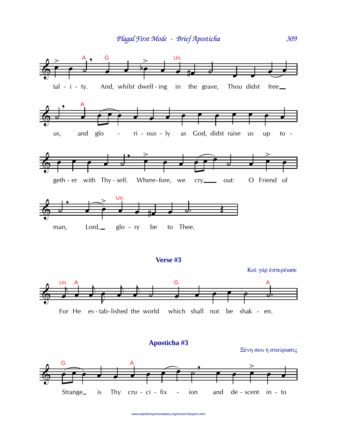

www.stanthonysmonastery.org/music/Vespers.htm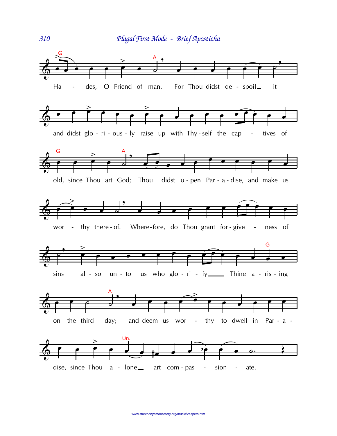

310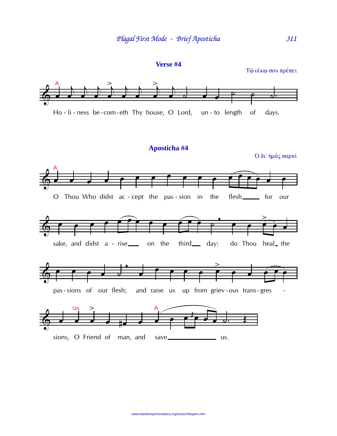

Τώ οίκω σου πρέπει

311





Ό δι' ήμας σαρκί

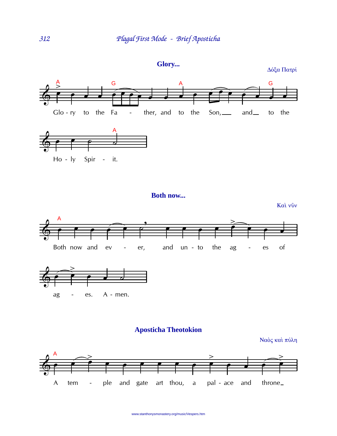

Δόξα Πατρί









Ναός και πύλη